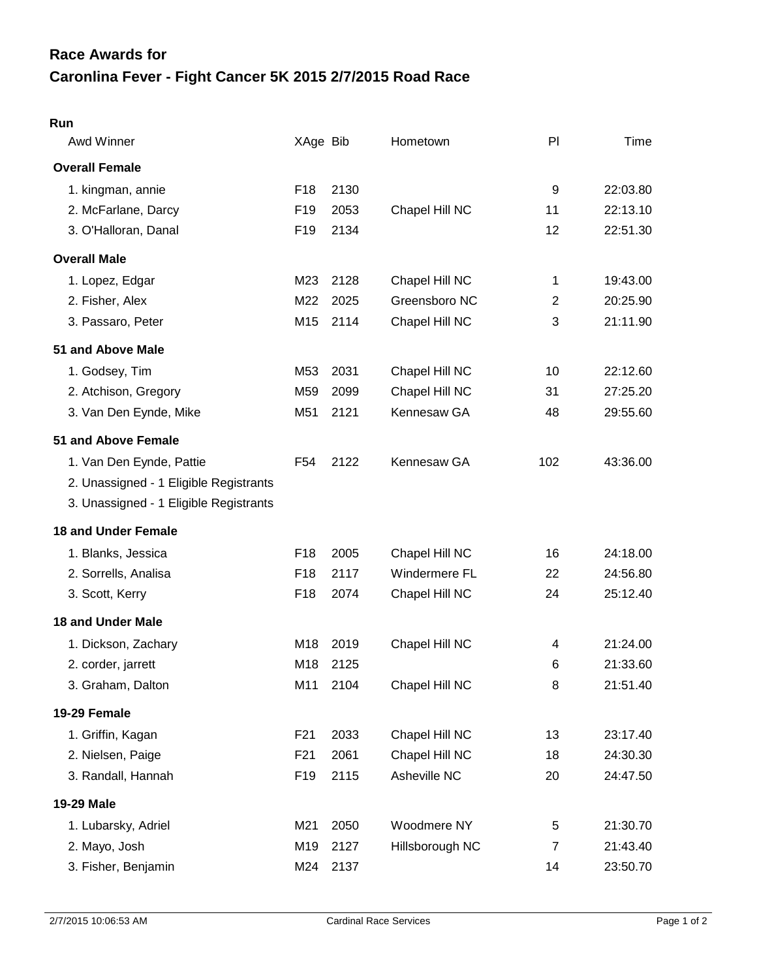## **Caronlina Fever - Fight Cancer 5K 2015 2/7/2015 Road Race Race Awards for**

| Awd Winner                             | XAge Bib        |      | Hometown        | PI             | Time     |
|----------------------------------------|-----------------|------|-----------------|----------------|----------|
| <b>Overall Female</b>                  |                 |      |                 |                |          |
| 1. kingman, annie                      | F <sub>18</sub> | 2130 |                 | 9              | 22:03.80 |
| 2. McFarlane, Darcy                    | F <sub>19</sub> | 2053 | Chapel Hill NC  | 11             | 22:13.10 |
| 3. O'Halloran, Danal                   | F <sub>19</sub> | 2134 |                 | 12             | 22:51.30 |
| <b>Overall Male</b>                    |                 |      |                 |                |          |
| 1. Lopez, Edgar                        | M23             | 2128 | Chapel Hill NC  | 1              | 19:43.00 |
| 2. Fisher, Alex                        | M22             | 2025 | Greensboro NC   | $\overline{2}$ | 20:25.90 |
| 3. Passaro, Peter                      | M15             | 2114 | Chapel Hill NC  | 3              | 21:11.90 |
| 51 and Above Male                      |                 |      |                 |                |          |
| 1. Godsey, Tim                         | M53             | 2031 | Chapel Hill NC  | 10             | 22:12.60 |
| 2. Atchison, Gregory                   | M59             | 2099 | Chapel Hill NC  | 31             | 27:25.20 |
| 3. Van Den Eynde, Mike                 | M51             | 2121 | Kennesaw GA     | 48             | 29:55.60 |
| 51 and Above Female                    |                 |      |                 |                |          |
| 1. Van Den Eynde, Pattie               | F <sub>54</sub> | 2122 | Kennesaw GA     | 102            | 43:36.00 |
| 2. Unassigned - 1 Eligible Registrants |                 |      |                 |                |          |
| 3. Unassigned - 1 Eligible Registrants |                 |      |                 |                |          |
| <b>18 and Under Female</b>             |                 |      |                 |                |          |
| 1. Blanks, Jessica                     | F <sub>18</sub> | 2005 | Chapel Hill NC  | 16             | 24:18.00 |
| 2. Sorrells, Analisa                   | F <sub>18</sub> | 2117 | Windermere FL   | 22             | 24:56.80 |
| 3. Scott, Kerry                        | F <sub>18</sub> | 2074 | Chapel Hill NC  | 24             | 25:12.40 |
| <b>18 and Under Male</b>               |                 |      |                 |                |          |
| 1. Dickson, Zachary                    | M18             | 2019 | Chapel Hill NC  | 4              | 21:24.00 |
| 2. corder, jarrett                     | M18             | 2125 |                 | 6              | 21:33.60 |
| 3. Graham, Dalton                      | M11             | 2104 | Chapel Hill NC  | 8              | 21:51.40 |
| 19-29 Female                           |                 |      |                 |                |          |
| 1. Griffin, Kagan                      | F21             | 2033 | Chapel Hill NC  | 13             | 23:17.40 |
| 2. Nielsen, Paige                      | F <sub>21</sub> | 2061 | Chapel Hill NC  | 18             | 24:30.30 |
| 3. Randall, Hannah                     | F <sub>19</sub> | 2115 | Asheville NC    | 20             | 24:47.50 |
| 19-29 Male                             |                 |      |                 |                |          |
| 1. Lubarsky, Adriel                    | M21             | 2050 | Woodmere NY     | $\,$ 5 $\,$    | 21:30.70 |
| 2. Mayo, Josh                          | M19             | 2127 | Hillsborough NC | $\overline{7}$ | 21:43.40 |
| 3. Fisher, Benjamin                    | M24             | 2137 |                 | 14             | 23:50.70 |